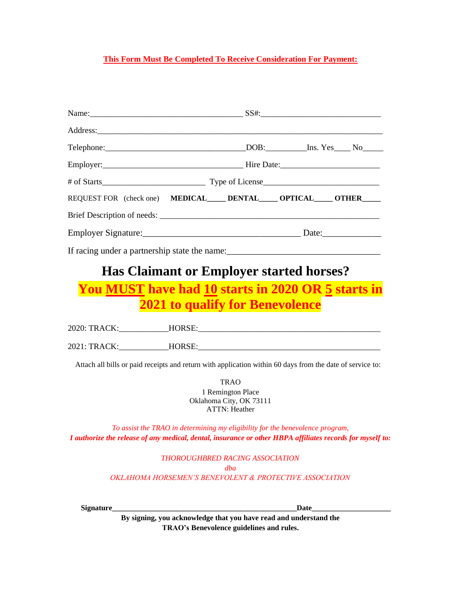#### **This Form Must Be Completed To Receive Consideration For Payment:**

| REQUEST FOR (check one) MEDICAL DENTAL OPTICAL OTHER |  |  |  |  |
|------------------------------------------------------|--|--|--|--|
|                                                      |  |  |  |  |
|                                                      |  |  |  |  |
|                                                      |  |  |  |  |

# **Has Claimant or Employer started horses?**

**You MUST have had 10 starts in 2020 OR 5 starts in 2021 to qualify for Benevolence**

| 2020: TRACK: | HORSE: |
|--------------|--------|
|              |        |
| 2021: TRACK: | HORSE: |

Attach all bills or paid receipts and return with application within 60 days from the date of service to:

TRAO 1 Remington Place Oklahoma City, OK 73111 ATTN: Heather

*To assist the TRAO in determining my eligibility for the benevolence program, I authorize the release of any medical, dental, insurance or other HBPA affiliates records for myself to:*

> *THOROUGHBRED RACING ASSOCIATION dba OKLAHOMA HORSEMEN'S BENEVOLENT & PROTECTIVE ASSOCIATION*

**Signature\_\_\_\_\_\_\_\_\_\_\_\_\_\_\_\_\_\_\_\_\_\_\_\_\_\_\_\_\_\_\_\_\_\_\_\_\_\_\_\_\_\_\_\_\_\_\_\_\_Date\_\_\_\_\_\_\_\_\_\_\_\_\_\_\_\_\_\_\_\_\_**

**By signing, you acknowledge that you have read and understand the TRAO's Benevolence guidelines and rules.**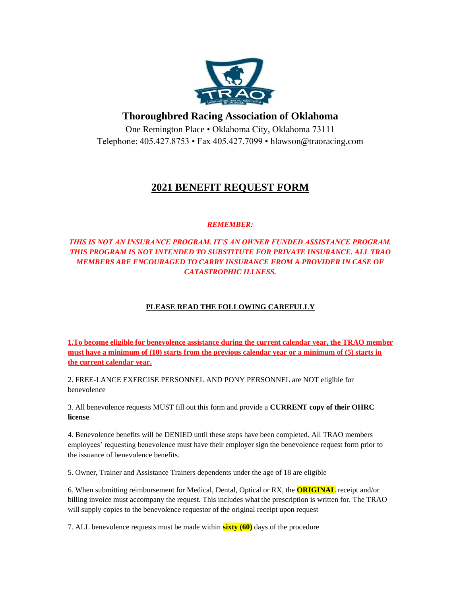

### **Thoroughbred Racing Association of Oklahoma**

One Remington Place • Oklahoma City, Oklahoma 73111 Telephone: 405.427.8753 • Fax 405.427.7099 • hlawson@traoracing.com

### **2021 BENEFIT REQUEST FORM**

#### *REMEMBER:*

#### *THIS IS NOT AN INSURANCE PROGRAM. IT'S AN OWNER FUNDED ASSISTANCE PROGRAM. THIS PROGRAM IS NOT INTENDED TO SUBSTITUTE FOR PRIVATE INSURANCE. ALL TRAO MEMBERS ARE ENCOURAGED TO CARRY INSURANCE FROM A PROVIDER IN CASE OF CATASTROPHIC ILLNESS.*

#### **PLEASE READ THE FOLLOWING CAREFULLY**

**1.To become eligible for benevolence assistance during the current calendar year, the TRAO member must have a minimum of (10) starts from the previous calendar year or a minimum of (5) starts in the current calendar year.** 

2. FREE-LANCE EXERCISE PERSONNEL AND PONY PERSONNEL are NOT eligible for benevolence

3. All benevolence requests MUST fill out this form and provide a **CURRENT copy of their OHRC license** 

4. Benevolence benefits will be DENIED until these steps have been completed. All TRAO members employees' requesting benevolence must have their employer sign the benevolence request form prior to the issuance of benevolence benefits.

5. Owner, Trainer and Assistance Trainers dependents under the age of 18 are eligible

6. When submitting reimbursement for Medical, Dental, Optical or RX, the **ORIGINAL** receipt and/or billing invoice must accompany the request. This includes what the prescription is written for. The TRAO will supply copies to the benevolence requestor of the original receipt upon request

7. ALL benevolence requests must be made within **sixty (60)** days of the procedure